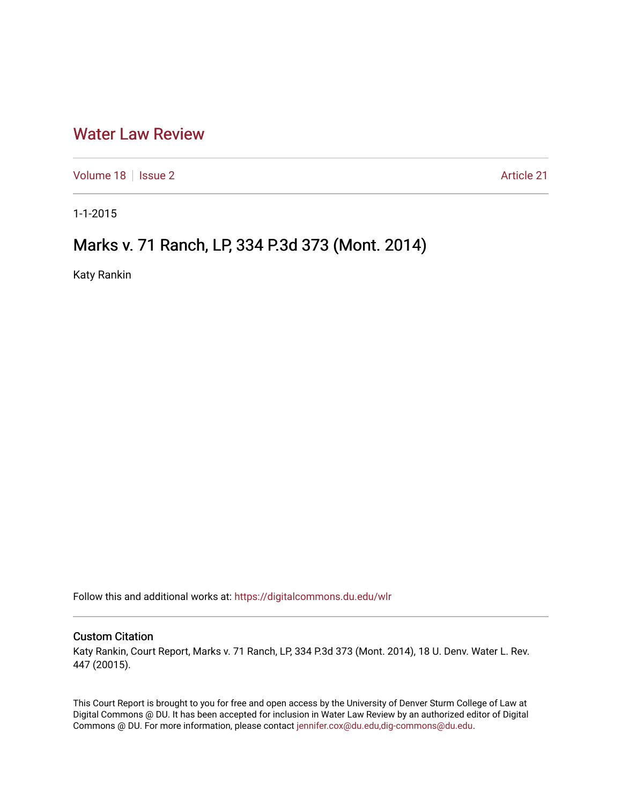## [Water Law Review](https://digitalcommons.du.edu/wlr)

[Volume 18](https://digitalcommons.du.edu/wlr/vol18) | [Issue 2](https://digitalcommons.du.edu/wlr/vol18/iss2) Article 21

1-1-2015

# Marks v. 71 Ranch, LP, 334 P.3d 373 (Mont. 2014)

Katy Rankin

Follow this and additional works at: [https://digitalcommons.du.edu/wlr](https://digitalcommons.du.edu/wlr?utm_source=digitalcommons.du.edu%2Fwlr%2Fvol18%2Fiss2%2F21&utm_medium=PDF&utm_campaign=PDFCoverPages) 

#### Custom Citation

Katy Rankin, Court Report, Marks v. 71 Ranch, LP, 334 P.3d 373 (Mont. 2014), 18 U. Denv. Water L. Rev. 447 (20015).

This Court Report is brought to you for free and open access by the University of Denver Sturm College of Law at Digital Commons @ DU. It has been accepted for inclusion in Water Law Review by an authorized editor of Digital Commons @ DU. For more information, please contact [jennifer.cox@du.edu,dig-commons@du.edu.](mailto:jennifer.cox@du.edu,dig-commons@du.edu)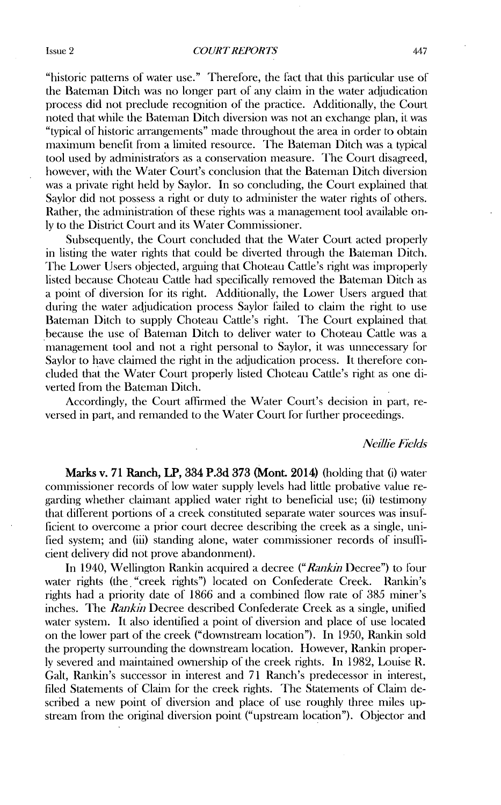"historic patterns of water use." Therefore, the fact that this particular use of the Bateman Ditch was no longer part of **any** claim in the water adjudication process did not preclude recognition of the practice. Additionally, the Court noted that while the Bateman Ditch diversion was not an exchange plan, it was "typical of historic arrangements" made throughout the area in order to obtain maximum benefit from a limited resource. The Bateman Ditch was a typical tool used by administrafors as a conservation measure. The Court disagreed, however, with the Water Court's conclusion that the Bateman Ditch diversion was a private right held by Saylor. In so concluding, the Court explained that Saylor did not possess a right or duty to administer the water rights of others. Rather, the administration of these rights was a management tool available only to the District Court and its Water Commissioner.

Subsequently, the Court concluded that the Water Court acted properly in listing the water rights that could be diverted through the Bateman Ditch. The Lower Users objected, arguing that Choteau Cattle's right was improperly listed because Choteau Cattle had specifically removed the Bateman Ditch as a point of diversion for its right. Additionally, the Lower Users argued that during the water adjudication process Saylor filed to claim the right to use Bateman Ditch to supply Choteau Cattle's right. The Court explained that because the use of Bateman Ditch to deliver water to Choteau Cattle was a management tool and not a right personal to Saylor, it was unnecessary for Saylor to have claimed the right in the adjudication process. It therefore concluded that the Water Court properly listed Choteau Cattle's right as one diverted from the Bateman Ditch.

Accordingly, the Court affirmed the Water Court's decision in part, reversed in part, and remanded to the Water Court **for** further proceedings.

#### *Neilie Fields*

**Marks v. 71** Ranch, **LP,** 334 **P.3d 373** (Mont. 2014) (holding that **(i)** water commissioner records of low water supply levels had little probative value regarding whether claimant applied water right to beneficial use; (ii) testimony that different portions of a creek constituted separate water sources was insufficient to overcome a prior court decree describing the creek as a single, unified system; and (iii) standing alone, water commissioner records of insufficient delivery did not prove abandonment).

In 1940, Wellington Rankin acquired a decree *("Rankin Decree")* to four water rights (the "creek rights") located on Confederate Creek. Rankin's rights had a priority date of 1866 and a combined flow rate of 385 miner's inches. The *Rankin* Decree described Confederate Creek as a single, unified water system. It also identified a point of diversion and place of use located on the lower part of the creek ("downstream location"). In 1950, Rankin sold the property surrounding the downstream location. However, Rankin properly severed and maintained ownership of the creek rights. In 1982, Louise R. Galt, Rankin's successor in interest and 71 Ranch's predecessor in interest, filed Statements of Claim for the creek rights. The Statements of Claim described a new point of diversion and place of use roughly three miles upstream from the original diversion point ("upstream location"). Objector and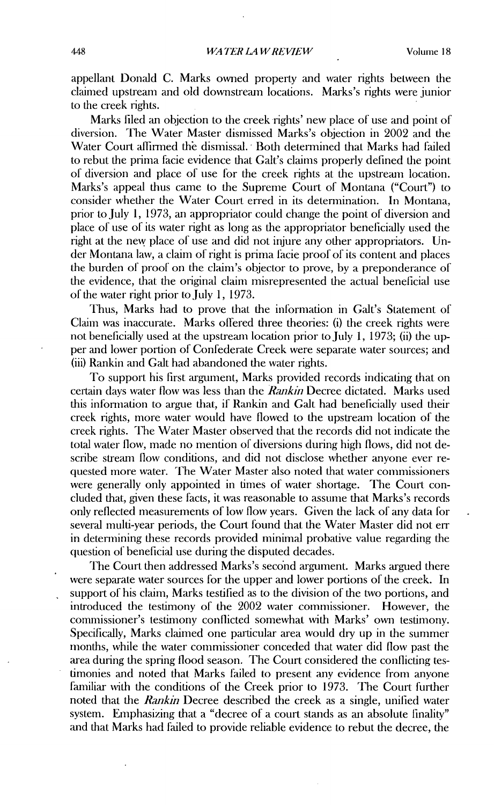appellant Donald C. Marks owned property and water rights between the claimed upstream and old downstream locations. Marks's rights were junior to the creek rights.

Marks liled an objection to the creek rights' new place of use and point of diversion. The Water Master dismissed Marks's objection in 2002 and the Water Court aflirmed the dismissal. Both determined that Marks had failed to rebut the prima facie evidence that Galt's claims properly defined the point of diversion and place of use for the creek rights at the upstream location. Marks's appeal thus came to the Supreme Court of Montana ("Court") to consider whether the Water Court erred in its determination. In Montana, prior to July 1, 1973, an appropriator could change the point of diversion and place of use of its water right as long as the appropriator beneficially used the right at the new place of use and did not injure any other appropriators. Under Montana law, a claim of right is prima facie proof of its content mad places the burden of proof on the claim's objector to prove, by a preponderance of the evidence, that the original claim misrepresented the actual beneficial use of the water right prior to July 1, 1973.

Thus, Marks had to prove that the information in Galt's Statement of Claim was inaccurate. Marks offered three theories: (i) the creek rights were not beneficially used at the upstream location prior to July 1, 1973; (ii) the upper and lower portion of Confederate Creek were separate water sources; and (iii) Rankin and Galt had abandoned the water rights.

To support his first argument, Marks provided records indicating that on certain days water flow was less than the *Rankin* Decree dictated. Marks used this information to argue that, if Rankin and Galt had beneficially used their creek rights, more water would have flowed to the upstream location of the creek rights. The Water Master observed that the records did not indicate the total water flow, made no mention of diversions during high flows, did not describe stream flow conditions, and did not disclose whether anyone ever requested more water. The Water Master also noted that water commissioners were generally only appointed in times of water shortage. The Court concluded that, given these facts, it was reasonable to assume that Marks's records only reflected measurements of low flow years. Given the lack of any data for several multi-year periods, the Court found that the Water Master did not err in determining these records provided minimal probative value regarding the question of beneficial use during the disputed decades.

The Court then addressed Marks's second argument. Marks argued there were separate water sources for the upper and lower portions of the creek. In support of his claim, Marks testified as to the division of the two portions, and introduced the testimony of the 2002 water commissioner. However, the commissioner's testimony conflicted somewhat with Marks' own testimony. Specifically, Marks claimed one particular area would dry up in the summer months, while the water commissioner conceded that water did flow past the area during the spring flood season. The Court considered the conflicting testimonies and noted that Marks failed to present any evidence from anyone familiar with the conditions of the Creek prior to 1973. The Court further noted that the *Ramkin* Decree described the creek as a single, unified water system. Emphasizing that a "decree of a court stands as an absolute finality" and that Marks had failed to provide reliable evidence to rebut the decree, the